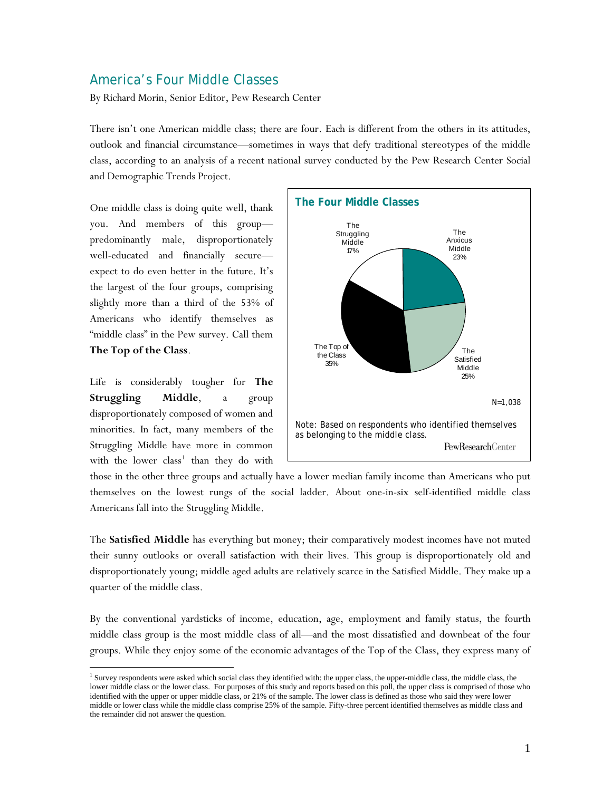# America's Four Middle Classes

By Richard Morin, Senior Editor, Pew Research Center

There isn't one American middle class; there are four. Each is different from the others in its attitudes, outlook and financial circumstance—sometimes in ways that defy traditional stereotypes of the middle class, according to an analysis of a recent national survey conducted by the Pew Research Center Social and Demographic Trends Project.

One middle class is doing quite well, thank you. And members of this group predominantly male, disproportionately well-educated and financially secure expect to do even better in the future. It's the largest of the four groups, comprising slightly more than a third of the 53% of Americans who identify themselves as "middle class" in the Pew survey. Call them **The Top of the Class**.

Life is considerably tougher for **The Struggling Middle**, a group disproportionately composed of women and minorities. In fact, many members of the Struggling Middle have more in common with the lower  $class<sup>1</sup>$  $class<sup>1</sup>$  $class<sup>1</sup>$  than they do with

 $\overline{a}$ 



those in the other three groups and actually have a lower median family income than Americans who put themselves on the lowest rungs of the social ladder. About one-in-six self-identified middle class Americans fall into the Struggling Middle.

The **Satisfied Middle** has everything but money; their comparatively modest incomes have not muted their sunny outlooks or overall satisfaction with their lives. This group is disproportionately old and disproportionately young; middle aged adults are relatively scarce in the Satisfied Middle. They make up a quarter of the middle class.

By the conventional yardsticks of income, education, age, employment and family status, the fourth middle class group is the most middle class of all—and the most dissatisfied and downbeat of the four groups. While they enjoy some of the economic advantages of the Top of the Class, they express many of

<span id="page-0-0"></span><sup>&</sup>lt;sup>1</sup> Survey respondents were asked which social class they identified with: the upper class, the upper-middle class, the middle class, the lower middle class or the lower class. For purposes of this study and reports based on this poll, the upper class is comprised of those who identified with the upper or upper middle class, or 21% of the sample. The lower class is defined as those who said they were lower middle or lower class while the middle class comprise 25% of the sample. Fifty-three percent identified themselves as middle class and the remainder did not answer the question.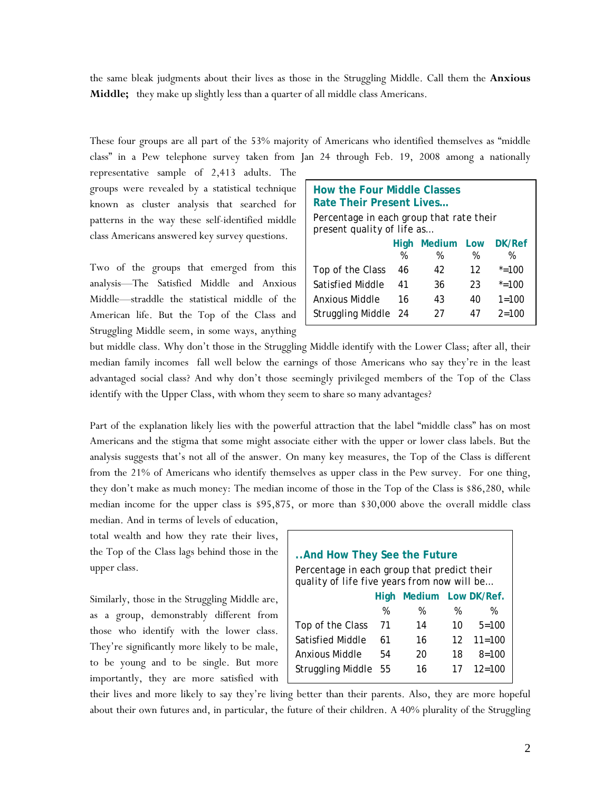the same bleak judgments about their lives as those in the Struggling Middle. Call them the **Anxious Middle;** they make up slightly less than a quarter of all middle class Americans.

These four groups are all part of the 53% majority of Americans who identified themselves as "middle class" in a Pew telephone survey taken from Jan 24 through Feb. 19, 2008 among a nationally

representative sample of 2,413 adults. The groups were revealed by a statistical technique known as cluster analysis that searched for patterns in the way these self-identified middle class Americans answered key survey questions.

Two of the groups that emerged from this analysis—The Satisfied Middle and Anxious Middle—straddle the statistical middle of the American life. But the Top of the Class and Struggling Middle seem, in some ways, anything

| <b>How the Four Middle Classes</b><br>Rate Their Present Lives<br>Percentage in each group that rate their<br>present quality of life as |    |    |    |           |  |
|------------------------------------------------------------------------------------------------------------------------------------------|----|----|----|-----------|--|
| DK/Ref<br>Medium Low<br>High<br>%<br>%<br>%<br>%                                                                                         |    |    |    |           |  |
| Top of the Class                                                                                                                         | 46 | 42 | 12 | $* = 100$ |  |
| Satisfied Middle                                                                                                                         | 41 | 36 | 23 | $* = 100$ |  |
| Anxious Middle                                                                                                                           | 16 | 43 | 40 | $1 = 100$ |  |
| Struggling Middle 24<br>$2 = 100$<br>27<br>47                                                                                            |    |    |    |           |  |

but middle class. Why don't those in the Struggling Middle identify with the Lower Class; after all, their median family incomes fall well below the earnings of those Americans who say they're in the least advantaged social class? And why don't those seemingly privileged members of the Top of the Class identify with the Upper Class, with whom they seem to share so many advantages?

Part of the explanation likely lies with the powerful attraction that the label "middle class" has on most Americans and the stigma that some might associate either with the upper or lower class labels. But the analysis suggests that's not all of the answer. On many key measures, the Top of the Class is different from the 21% of Americans who identify themselves as upper class in the Pew survey. For one thing, they don't make as much money: The median income of those in the Top of the Class is \$86,280, while median income for the upper class is \$95,875, or more than \$30,000 above the overall middle class

total wealth and how they rate their lives, the Top of the Class lags behind those in the upper class.

median. And in terms of levels of education,

Similarly, those in the Struggling Middle are, as a group, demonstrably different from those who identify with the lower class. They're significantly more likely to be male, to be young and to be single. But more importantly, they are more satisfied with

| And How They See the Future                 |      |                    |                 |            |
|---------------------------------------------|------|--------------------|-----------------|------------|
| Percentage in each group that predict their |      |                    |                 |            |
| quality of life five years from now will be |      |                    |                 |            |
|                                             | Hiah | Medium Low DK/Ref. |                 |            |
|                                             | %    | %                  | %               | %          |
| Top of the Class                            | 71   | 14                 | 10              | $5 = 100$  |
| Satisfied Middle                            | 61   | 16                 | 12 <sup>1</sup> | $11 = 100$ |
| Anxious Middle                              | 54   | 20                 | 18              | $8 = 100$  |
| <b>Struggling Middle</b>                    | 55   | 16                 | 17              | $12 = 100$ |
|                                             |      |                    |                 |            |

their lives and more likely to say they're living better than their parents. Also, they are more hopeful about their own futures and, in particular, the future of their children. A 40% plurality of the Struggling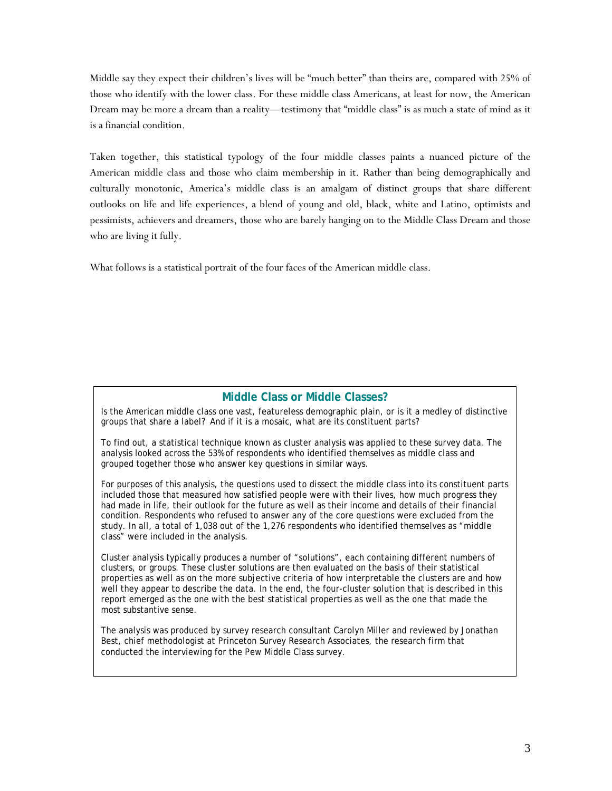Middle say they expect their children's lives will be "much better" than theirs are, compared with 25% of those who identify with the lower class. For these middle class Americans, at least for now, the American Dream may be more a dream than a reality—testimony that "middle class" is as much a state of mind as it is a financial condition.

Taken together, this statistical typology of the four middle classes paints a nuanced picture of the American middle class and those who claim membership in it. Rather than being demographically and culturally monotonic, America's middle class is an amalgam of distinct groups that share different outlooks on life and life experiences, a blend of young and old, black, white and Latino, optimists and pessimists, achievers and dreamers, those who are barely hanging on to the Middle Class Dream and those who are living it fully.

What follows is a statistical portrait of the four faces of the American middle class.

## **Middle Class or Middle Classes?**

Is the American middle class one vast, featureless demographic plain, or is it a medley of distinctive groups that share a label? And if it is a mosaic, what are its constituent parts?

To find out, a statistical technique known as cluster analysis was applied to these survey data. The analysis looked across the 53% of respondents who identified themselves as middle class and grouped together those who answer key questions in similar ways.

For purposes of this analysis, the questions used to dissect the middle class into its constituent parts included those that measured how satisfied people were with their lives, how much progress they had made in life, their outlook for the future as well as their income and details of their financial condition. Respondents who refused to answer any of the core questions were excluded from the study. In all, a total of 1,038 out of the 1,276 respondents who identified themselves as "middle class" were included in the analysis.

Cluster analysis typically produces a number of "solutions", each containing different numbers of clusters, or groups. These cluster solutions are then evaluated on the basis of their statistical properties as well as on the more subjective criteria of how interpretable the clusters are and how well they appear to describe the data. In the end, the four-cluster solution that is described in this report emerged as the one with the best statistical properties as well as the one that made the most substantive sense.

The analysis was produced by survey research consultant Carolyn Miller and reviewed by Jonathan Best, chief methodologist at Princeton Survey Research Associates, the research firm that conducted the interviewing for the Pew Middle Class survey.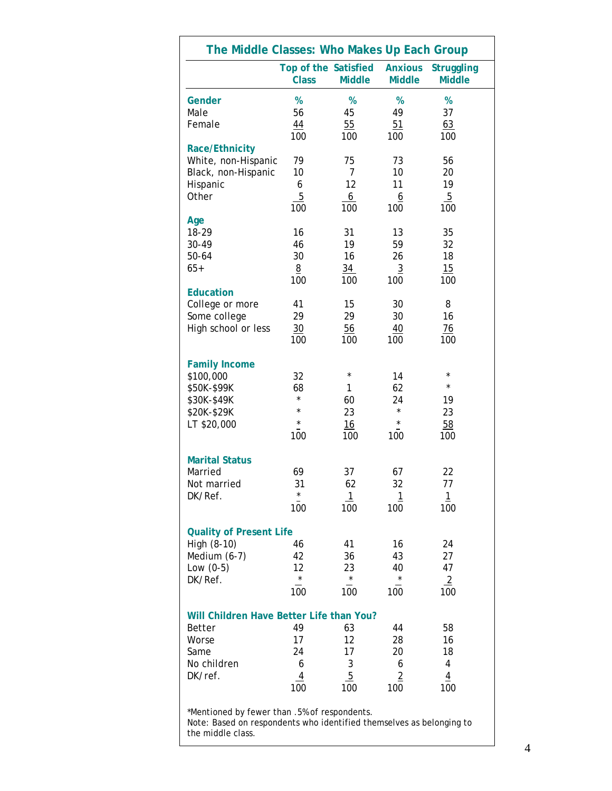| The Middle Classes: Who Makes Up Each Group                          |                                      |               |                                 |                                    |
|----------------------------------------------------------------------|--------------------------------------|---------------|---------------------------------|------------------------------------|
|                                                                      | Top of the Satisfied<br><b>Class</b> | <b>Middle</b> | <b>Anxious</b><br><b>Middle</b> | <b>Struggling</b><br><b>Middle</b> |
| Gender                                                               | %                                    | %             | %                               | %                                  |
| Male                                                                 | 56                                   | 45            | 49                              | 37                                 |
| Female                                                               | 44                                   | 55            | 51                              | 63                                 |
|                                                                      | 100                                  | 100           | 100                             | 100                                |
| Race/Ethnicity                                                       |                                      |               |                                 |                                    |
| White, non-Hispanic                                                  | 79                                   | 75            | 73                              | 56                                 |
| Black, non-Hispanic                                                  | 10                                   | 7             | 10                              | 20                                 |
| Hispanic                                                             | 6                                    | 12            | 11                              | 19                                 |
| Other                                                                | 5                                    | 6             | 6                               | $\overline{5}$                     |
|                                                                      | 100                                  | 100           | 100                             | 100                                |
| Age                                                                  |                                      |               |                                 |                                    |
| 18-29                                                                | 16                                   | 31            | 13                              | 35                                 |
| 30-49                                                                | 46                                   | 19            | 59                              | 32                                 |
| 50-64                                                                | 30                                   | 16            | 26                              | 18                                 |
| $65+$                                                                | 8                                    | 34            | 3                               | 15                                 |
|                                                                      | 100                                  | 100           | 100                             | 100                                |
| <b>Education</b>                                                     |                                      |               |                                 |                                    |
| College or more                                                      | 41                                   | 15            | 30                              | 8                                  |
| Some college                                                         | 29                                   | 29            | 30                              | 16                                 |
| High school or less                                                  | 30                                   | 56            | 40                              | $\frac{76}{5}$                     |
|                                                                      | 100                                  | 100           | 100                             | 100                                |
|                                                                      |                                      |               |                                 |                                    |
|                                                                      |                                      |               |                                 |                                    |
| <b>Family Income</b>                                                 |                                      | $\star$       |                                 | $^{\star}$                         |
| \$100,000                                                            | 32                                   |               | 14                              | $\star$                            |
| \$50K-\$99K                                                          | 68<br>$\star$                        | 1             | 62                              |                                    |
| \$30K-\$49K                                                          | $\star$                              | 60            | 24<br>$^{\star}$                | 19                                 |
| \$20K-\$29K                                                          |                                      | 23            |                                 | 23                                 |
| LT \$20,000                                                          | $\star$                              | 16            | $^\star$                        | 58                                 |
|                                                                      | 100                                  | 100           | 100                             | 100                                |
|                                                                      |                                      |               |                                 |                                    |
| <b>Marital Status</b>                                                |                                      |               |                                 |                                    |
| Married                                                              | 69                                   | 37            | 67                              | 22                                 |
| Not married                                                          | 31                                   | 62            | 32                              | 77                                 |
| DK/Ref.                                                              | $\star$                              | 1             | 1                               | 1                                  |
|                                                                      | 100                                  | 100           | 100                             | 100                                |
|                                                                      |                                      |               |                                 |                                    |
| <b>Quality of Present Life</b>                                       |                                      |               |                                 |                                    |
| High (8-10)                                                          | 46                                   | 41            | 16                              | 24                                 |
| Medium (6-7)                                                         | 42                                   | 36            | 43                              | 27                                 |
| Low $(0-5)$                                                          | 12                                   | 23            | 40                              | 47                                 |
| DK/Ref.                                                              | $\star$                              | $^{\star}$    | $^{\star}$                      | $\overline{2}$                     |
|                                                                      | 100                                  | 100           | 100                             | 100                                |
|                                                                      |                                      |               |                                 |                                    |
| Will Children Have Better Life than You?                             |                                      |               |                                 |                                    |
| Better                                                               | 49                                   | 63            | 44                              | 58                                 |
| Worse                                                                | 17                                   | 12            | 28                              | 16                                 |
| Same                                                                 | 24                                   | 17            | 20                              | 18                                 |
| No children                                                          | 6                                    | 3             | 6                               | 4                                  |
| DK/ref.                                                              | 4                                    | 5             | $\overline{2}$                  | 4                                  |
|                                                                      | 100                                  | 100           | 100                             | 100                                |
|                                                                      |                                      |               |                                 |                                    |
| *Mentioned by fewer than .5% of respondents.                         |                                      |               |                                 |                                    |
| Note: Based on respondents who identified themselves as belonging to |                                      |               |                                 |                                    |
| the middle class.                                                    |                                      |               |                                 |                                    |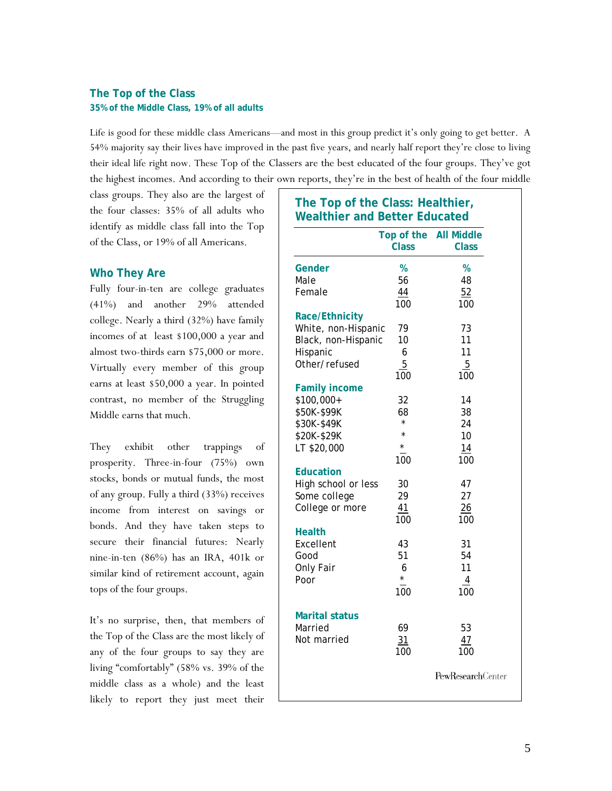## **The Top of the Class 35% of the Middle Class, 19% of all adults**

Life is good for these middle class Americans—and most in this group predict it's only going to get better. A 54% majority say their lives have improved in the past five years, and nearly half report they're close to living their ideal life right now. These Top of the Classers are the best educated of the four groups. They've got the highest incomes. And according to their own reports, they're in the best of health of the four middle

class groups. They also are the largest of the four classes: 35% of all adults who identify as middle class fall into the Top of the Class, or 19% of all Americans.

## **Who They Are**

Fully four-in-ten are college graduates (41%) and another 29% attended college. Nearly a third (32%) have family incomes of at least \$100,000 a year and almost two-thirds earn \$75,000 or more. Virtually every member of this group earns at least \$50,000 a year. In pointed contrast, no member of the Struggling Middle earns that much.

They exhibit other trappings of prosperity. Three-in-four (75%) own stocks, bonds or mutual funds, the most of any group. Fully a third (33%) receives income from interest on savings or bonds. And they have taken steps to secure their financial futures: Nearly nine-in-ten (86%) has an IRA, 401k or similar kind of retirement account, again tops of the four groups.

It's no surprise, then, that members of the Top of the Class are the most likely of any of the four groups to say they are living "comfortably" (58% vs. 39% of the middle class as a whole) and the least likely to report they just meet their

|                       | Top of the<br><b>Class</b> | <b>All Middle</b><br><b>Class</b> |
|-----------------------|----------------------------|-----------------------------------|
| Gender                | %                          | %                                 |
| Male                  | 56                         | 48                                |
| Female                | 44                         | 52                                |
|                       | 100                        | 100                               |
| <b>Race/Ethnicity</b> |                            |                                   |
| White, non-Hispanic   | 79                         | 73                                |
| Black, non-Hispanic   | 10                         | 11                                |
| Hispanic              | 6                          | 11                                |
| Other/refused         | 5                          | 5                                 |
|                       | 100                        | 100                               |
| <b>Family income</b>  |                            |                                   |
| \$100,000+            | 32                         | 14                                |
| \$50K-\$99K           | 68<br>$\star$              | 38                                |
| \$30K-\$49K           | $\star$                    | 24                                |
| \$20K-\$29K           | $\star$                    | 10                                |
| LT \$20,000           | 100                        | 14<br>100                         |
| <b>Education</b>      |                            |                                   |
| High school or less   | 30                         | 47                                |
| Some college          | 29                         | 27                                |
| College or more       | 41                         | 26                                |
|                       | 100                        | 100                               |
| <b>Health</b>         |                            |                                   |
| Excellent             | 43                         | 31                                |
| Good                  | 51                         | 54                                |
| Only Fair             | 6                          | 11                                |
| Poor                  | $^{\star}$                 | 4                                 |
|                       | 100                        | 100                               |
| <b>Marital status</b> |                            |                                   |
| Married               | 69                         | 53                                |
| Not married           | 31                         | 47                                |
|                       |                            |                                   |
|                       | 100                        | 100                               |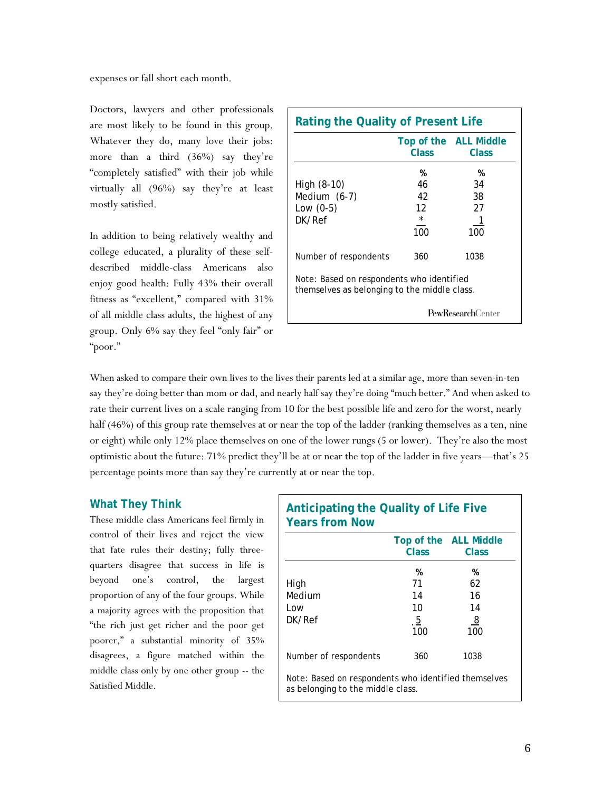expenses or fall short each month.

Doctors, lawyers and other professionals are most likely to be found in this group. Whatever they do, many love their jobs: more than a third (36%) say they're "completely satisfied" with their job while virtually all (96%) say they're at least mostly satisfied.

In addition to being relatively wealthy and college educated, a plurality of these selfdescribed middle-class Americans also enjoy good health: Fully 43% their overall fitness as "excellent," compared with 31% of all middle class adults, the highest of any group. Only 6% say they feel "only fair" or "poor."

| <b>Rating the Quality of Present Life</b>                                                 |                                       |                                              |  |
|-------------------------------------------------------------------------------------------|---------------------------------------|----------------------------------------------|--|
|                                                                                           | Class                                 | Top of the ALL Middle<br>Class               |  |
| High (8-10)<br>Medium (6-7)<br>Low $(0-5)$<br>DK/Ref                                      | %<br>46<br>42<br>12<br>$\star$<br>100 | %<br>34<br>38<br>27<br>$\overline{1}$<br>100 |  |
| Number of respondents                                                                     | 360                                   | 1038                                         |  |
| Note: Based on respondents who identified<br>themselves as belonging to the middle class. |                                       |                                              |  |
|                                                                                           |                                       | <b>PewResearch</b> Center                    |  |

When asked to compare their own lives to the lives their parents led at a similar age, more than seven-in-ten say they're doing better than mom or dad, and nearly half say they're doing "much better." And when asked to rate their current lives on a scale ranging from 10 for the best possible life and zero for the worst, nearly half (46%) of this group rate themselves at or near the top of the ladder (ranking themselves as a ten, nine or eight) while only 12% place themselves on one of the lower rungs (5 or lower). They're also the most optimistic about the future: 71% predict they'll be at or near the top of the ladder in five years—that's 25 percentage points more than say they're currently at or near the top.

## **What They Think**

These middle class Americans feel firmly in control of their lives and reject the view that fate rules their destiny; fully threequarters disagree that success in life is beyond one's control, the largest proportion of any of the four groups. While a majority agrees with the proposition that "the rich just get richer and the poor get poorer," a substantial minority of 35% disagrees, a figure matched within the middle class only by one other group -- the Satisfied Middle.

| <b>Anticipating the Quality of Life Five</b><br><b>Years from Now</b>                     |                |                       |  |
|-------------------------------------------------------------------------------------------|----------------|-----------------------|--|
|                                                                                           |                | Top of the ALL Middle |  |
|                                                                                           | Class          | Class                 |  |
|                                                                                           | %              | %                     |  |
| High                                                                                      | 71             | 62                    |  |
| Medium                                                                                    | 14             | 16                    |  |
| Low                                                                                       | 10             | 14                    |  |
| DK/Ref                                                                                    | $\overline{5}$ | 8                     |  |
|                                                                                           | 100            | 100                   |  |
| Number of respondents                                                                     | 360            | 1038                  |  |
| Note: Based on respondents who identified themselves<br>as belonging to the middle class. |                |                       |  |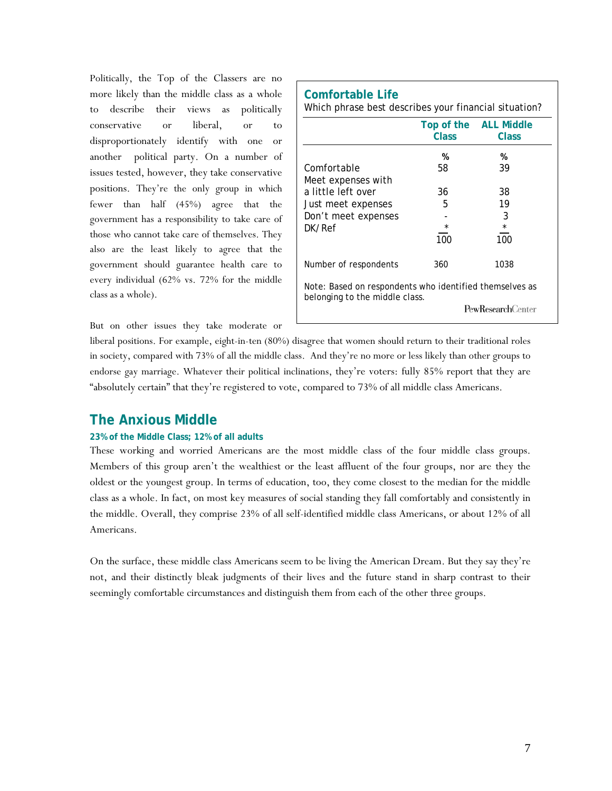Politically, the Top of the Classers are no more likely than the middle class as a whole to describe their views as politically conservative or liberal, or to disproportionately identify with one or another political party. On a number of issues tested, however, they take conservative positions. They're the only group in which fewer than half (45%) agree that the government has a responsibility to take care of those who cannot take care of themselves. They also are the least likely to agree that the government should guarantee health care to every individual (62% vs. 72% for the middle class as a whole).

|                                                                                           | Class   | Top of the ALL Middle<br>Class |
|-------------------------------------------------------------------------------------------|---------|--------------------------------|
|                                                                                           | %       | %                              |
| Comfortable                                                                               | 58      | 39                             |
| Meet expenses with                                                                        |         |                                |
| a little left over                                                                        | 36      | 38                             |
| Just meet expenses                                                                        | 5       | 19                             |
| Don't meet expenses                                                                       |         | 3                              |
| DK/Ref                                                                                    | $\star$ | $\star$                        |
|                                                                                           | 100     | 100                            |
| Number of respondents                                                                     | 360     | 1038                           |
| Note: Based on respondents who identified themselves as<br>belonging to the middle class. |         |                                |
|                                                                                           |         | <b>PewResearchCenter</b>       |

But on other issues they take moderate or

liberal positions. For example, eight-in-ten (80%) disagree that women should return to their traditional roles in society, compared with 73% of all the middle class. And they're no more or less likely than other groups to endorse gay marriage. Whatever their political inclinations, they're voters: fully 85% report that they are "absolutely certain" that they're registered to vote, compared to 73% of all middle class Americans.

# **The Anxious Middle**

### **23% of the Middle Class; 12% of all adults**

These working and worried Americans are the most middle class of the four middle class groups. Members of this group aren't the wealthiest or the least affluent of the four groups, nor are they the oldest or the youngest group. In terms of education, too, they come closest to the median for the middle class as a whole. In fact, on most key measures of social standing they fall comfortably and consistently in the middle. Overall, they comprise 23% of all self-identified middle class Americans, or about 12% of all Americans.

On the surface, these middle class Americans seem to be living the American Dream. But they say they're not, and their distinctly bleak judgments of their lives and the future stand in sharp contrast to their seemingly comfortable circumstances and distinguish them from each of the other three groups.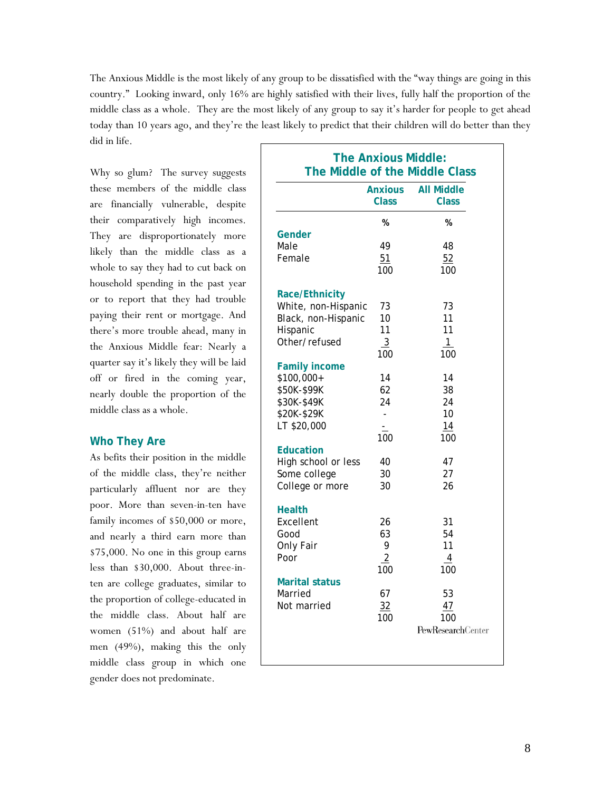The Anxious Middle is the most likely of any group to be dissatisfied with the "way things are going in this country." Looking inward, only 16% are highly satisfied with their lives, fully half the proportion of the middle class as a whole. They are the most likely of any group to say it's harder for people to get ahead today than 10 years ago, and they're the least likely to predict that their children will do better than they did in life.

Why so glum? The survey suggests these members of the middle class are financially vulnerable, despite their comparatively high incomes. They are disproportionately more likely than the middle class as a whole to say they had to cut back on household spending in the past year or to report that they had trouble paying their rent or mortgage. And there's more trouble ahead, many in the Anxious Middle fear: Nearly a quarter say it's likely they will be laid off or fired in the coming year, nearly double the proportion of the middle class as a whole.

## **Who They Are**

As befits their position in the middle of the middle class, they're neither particularly affluent nor are they poor. More than seven-in-ten have family incomes of \$50,000 or more, and nearly a third earn more than \$75,000. No one in this group earns less than \$30,000. About three-inten are college graduates, similar to the proportion of college-educated in the middle class. About half are women (51%) and about half are men (49%), making this the only middle class group in which one gender does not predominate.

|                       | <b>Anxious</b><br>Class | <b>All Middle</b><br><b>Class</b> |
|-----------------------|-------------------------|-----------------------------------|
|                       | %                       | %                                 |
| Gender                |                         |                                   |
| Male                  | 49                      | 48                                |
| Female                | 51                      | 52                                |
|                       | 100                     | 100                               |
| <b>Race/Ethnicity</b> |                         |                                   |
| White, non-Hispanic   | 73                      | 73                                |
| Black, non-Hispanic   | 10                      | 11                                |
| Hispanic              | 11                      | 11                                |
| Other/refused         | $\overline{3}$          | $\mathbf{1}$                      |
|                       | 100                     | 100                               |
| <b>Family income</b>  |                         |                                   |
| \$100,000+            | 14                      | 14                                |
| \$50K-\$99K           | 62                      | 38                                |
| \$30K-\$49K           | 24                      | 24                                |
| \$20K-\$29K           | ÷                       | 10                                |
| LT \$20,000           |                         | 14                                |
|                       | 100                     | 100                               |
| <b>Education</b>      |                         |                                   |
| High school or less   | 40                      | 47                                |
| Some college          | 30                      | 27                                |
| College or more       | 30                      | 26                                |
| <b>Health</b>         |                         |                                   |
| Excellent             | 26                      | 31                                |
| Good                  | 63                      | 54                                |
| Only Fair             | 9                       | 11                                |
| Poor                  | $\overline{2}$          | 4                                 |
|                       | 100                     | 100                               |
| <b>Marital status</b> |                         |                                   |
| Married               | 67                      | 53                                |
| Not married           | 32                      | 47                                |
|                       | 100                     | 100<br><b>PewResearchCenter</b>   |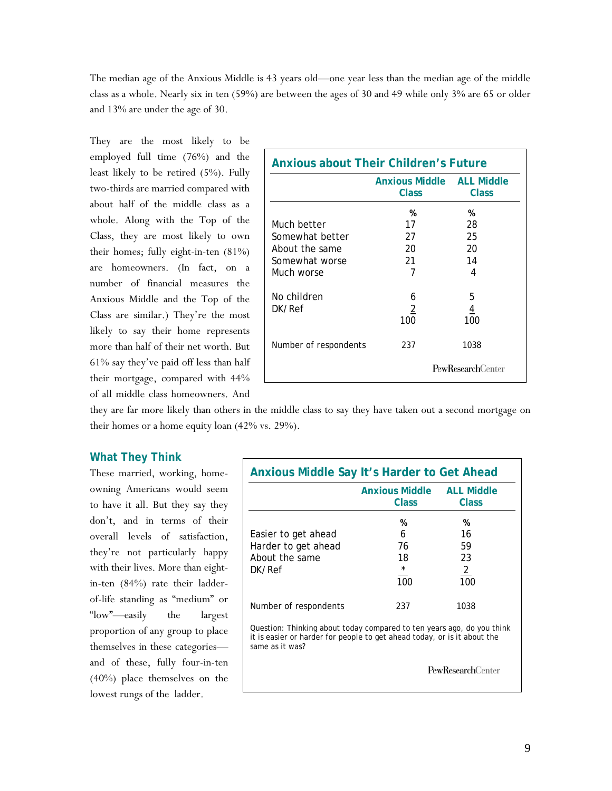The median age of the Anxious Middle is 43 years old—one year less than the median age of the middle class as a whole. Nearly six in ten (59%) are between the ages of 30 and 49 while only 3% are 65 or older and 13% are under the age of 30.

They are the most likely to be employed full time (76%) and the least likely to be retired (5%). Fully two-thirds are married compared with about half of the middle class as a whole. Along with the Top of the Class, they are most likely to own their homes; fully eight-in-ten (81%) are homeowners. (In fact, on a number of financial measures the Anxious Middle and the Top of the Class are similar.) They're the most likely to say their home represents more than half of their net worth. But 61% say they've paid off less than half their mortgage, compared with 44% of all middle class homeowners. And

| <b>Anxious about Their Children's Future</b>   |                                       |                                   |  |
|------------------------------------------------|---------------------------------------|-----------------------------------|--|
|                                                | <b>Anxious Middle</b><br><b>Class</b> | <b>ALL Middle</b><br><b>Class</b> |  |
| Much better<br>Somewhat better                 | %<br>17<br>27                         | %<br>28<br>25                     |  |
| About the same<br>Somewhat worse<br>Much worse | 20<br>21<br>7                         | 20<br>14<br>4                     |  |
| No children<br>DK/Ref                          | 6<br>2<br>100                         | 5<br>$\overline{4}$<br>100        |  |
| Number of respondents                          | 237                                   | 1038<br>PewResearchCenter         |  |

they are far more likely than others in the middle class to say they have taken out a second mortgage on their homes or a home equity loan (42% vs. 29%).

## **What They Think**

These married, working, homeowning Americans would seem to have it all. But they say they don't, and in terms of their overall levels of satisfaction, they're not particularly happy with their lives. More than eightin-ten (84%) rate their ladderof-life standing as "medium" or "low"—easily the largest proportion of any group to place themselves in these categories and of these, fully four-in-ten (40%) place themselves on the lowest rungs of the ladder.

|                                                                                                                                                                       | <b>Anxious Middle ALL Middle</b> |                |
|-----------------------------------------------------------------------------------------------------------------------------------------------------------------------|----------------------------------|----------------|
|                                                                                                                                                                       | Class                            | Class          |
|                                                                                                                                                                       | %                                | %              |
| Easier to get ahead                                                                                                                                                   | 6                                | 16             |
| Harder to get ahead                                                                                                                                                   | 76                               | 59             |
| About the same                                                                                                                                                        | 18                               | 23             |
| DK/Ref                                                                                                                                                                | $\star$                          | $\overline{2}$ |
|                                                                                                                                                                       | 100                              | 100            |
| Number of respondents                                                                                                                                                 | 237                              | 1038           |
| Question: Thinking about today compared to ten years ago, do you think<br>it is easier or harder for people to get ahead today, or is it about the<br>same as it was? |                                  |                |

PewResearchCenter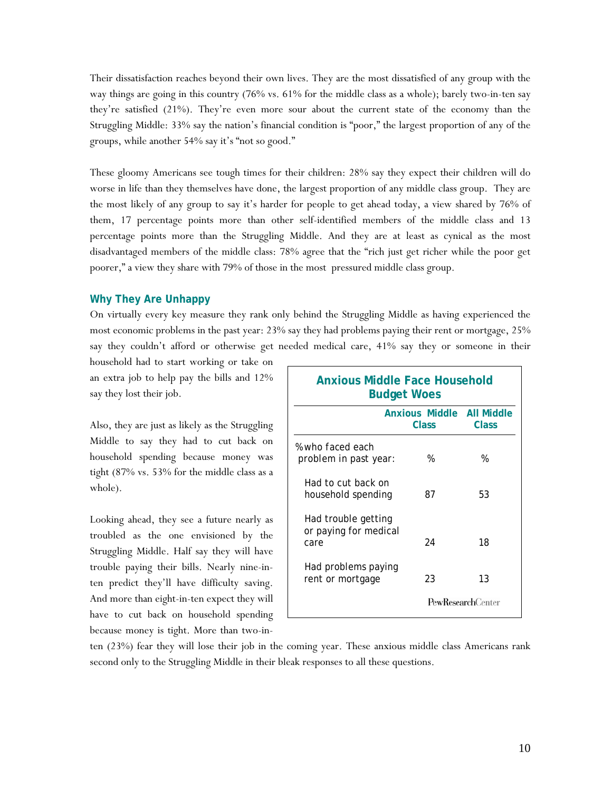Their dissatisfaction reaches beyond their own lives. They are the most dissatisfied of any group with the way things are going in this country (76% vs. 61% for the middle class as a whole); barely two-in-ten say they're satisfied (21%). They're even more sour about the current state of the economy than the Struggling Middle: 33% say the nation's financial condition is "poor," the largest proportion of any of the groups, while another 54% say it's "not so good."

These gloomy Americans see tough times for their children: 28% say they expect their children will do worse in life than they themselves have done, the largest proportion of any middle class group. They are the most likely of any group to say it's harder for people to get ahead today, a view shared by 76% of them, 17 percentage points more than other self-identified members of the middle class and 13 percentage points more than the Struggling Middle. And they are at least as cynical as the most disadvantaged members of the middle class: 78% agree that the "rich just get richer while the poor get poorer," a view they share with 79% of those in the most pressured middle class group.

## **Why They Are Unhappy**

On virtually every key measure they rank only behind the Struggling Middle as having experienced the most economic problems in the past year: 23% say they had problems paying their rent or mortgage, 25% say they couldn't afford or otherwise get needed medical care, 41% say they or someone in their

household had to start working or take on an extra job to help pay the bills and 12% say they lost their job.

Also, they are just as likely as the Struggling Middle to say they had to cut back on household spending because money was tight (87% vs. 53% for the middle class as a whole).

Looking ahead, they see a future nearly as troubled as the one envisioned by the Struggling Middle. Half say they will have trouble paying their bills. Nearly nine-inten predict they'll have difficulty saving. And more than eight-in-ten expect they will have to cut back on household spending because money is tight. More than two-in-

| <b>Anxious Middle Face Household</b><br><b>Budget Woes</b> |                                    |                          |  |
|------------------------------------------------------------|------------------------------------|--------------------------|--|
|                                                            | Anxious Middle All Middle<br>Class | Class                    |  |
| % who faced each<br>problem in past year:                  | %                                  | %                        |  |
| Had to cut back on<br>household spending                   | 87                                 | 53                       |  |
| Had trouble getting<br>or paying for medical<br>care       | 24                                 | 18                       |  |
| Had problems paying<br>rent or mortgage                    | 23                                 | 13                       |  |
|                                                            |                                    | <b>PewResearchCenter</b> |  |

ten (23%) fear they will lose their job in the coming year. These anxious middle class Americans rank second only to the Struggling Middle in their bleak responses to all these questions.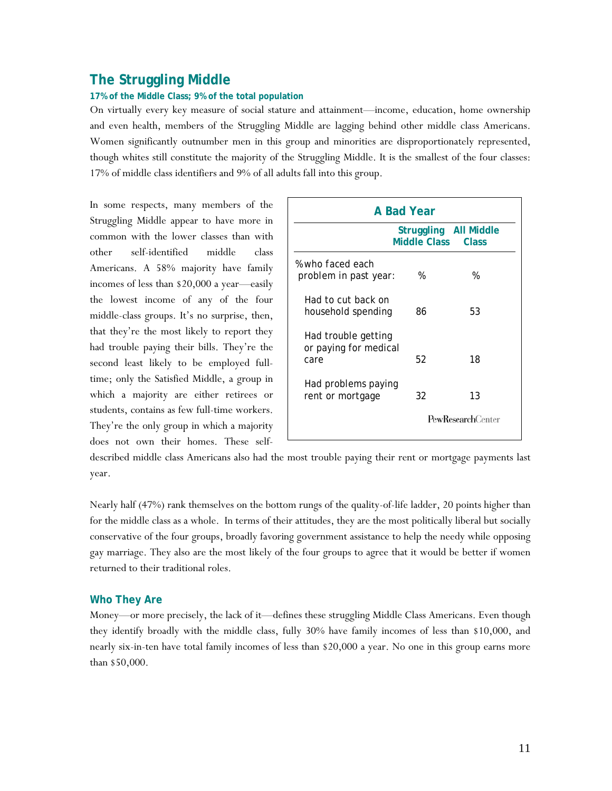# **The Struggling Middle**

#### **17% of the Middle Class; 9% of the total population**

On virtually every key measure of social stature and attainment—income, education, home ownership and even health, members of the Struggling Middle are lagging behind other middle class Americans. Women significantly outnumber men in this group and minorities are disproportionately represented, though whites still constitute the majority of the Struggling Middle. It is the smallest of the four classes: 17% of middle class identifiers and 9% of all adults fall into this group.

In some respects, many members of the Struggling Middle appear to have more in common with the lower classes than with other self-identified middle class Americans. A 58% majority have family incomes of less than \$20,000 a year—easily the lowest income of any of the four middle-class groups. It's no surprise, then, that they're the most likely to report they had trouble paying their bills. They're the second least likely to be employed fulltime; only the Satisfied Middle, a group in which a majority are either retirees or students, contains as few full-time workers. They're the only group in which a majority does not own their homes. These self-

| A Bad Year                                           |                                              |                           |  |
|------------------------------------------------------|----------------------------------------------|---------------------------|--|
|                                                      | Struggling All Middle<br><b>Middle Class</b> | Class                     |  |
| % who faced each<br>problem in past year:            | %                                            | %                         |  |
| Had to cut back on<br>household spending             | 86                                           | 53                        |  |
| Had trouble getting<br>or paying for medical<br>care | 52                                           | 18                        |  |
| Had problems paying<br>rent or mortgage              | 32                                           | 13                        |  |
|                                                      |                                              | <b>PewResearch</b> Center |  |

described middle class Americans also had the most trouble paying their rent or mortgage payments last year.

Nearly half (47%) rank themselves on the bottom rungs of the quality-of-life ladder, 20 points higher than for the middle class as a whole. In terms of their attitudes, they are the most politically liberal but socially conservative of the four groups, broadly favoring government assistance to help the needy while opposing gay marriage. They also are the most likely of the four groups to agree that it would be better if women returned to their traditional roles.

#### **Who They Are**

Money—or more precisely, the lack of it—defines these struggling Middle Class Americans. Even though they identify broadly with the middle class, fully 30% have family incomes of less than \$10,000, and nearly six-in-ten have total family incomes of less than \$20,000 a year. No one in this group earns more than \$50,000.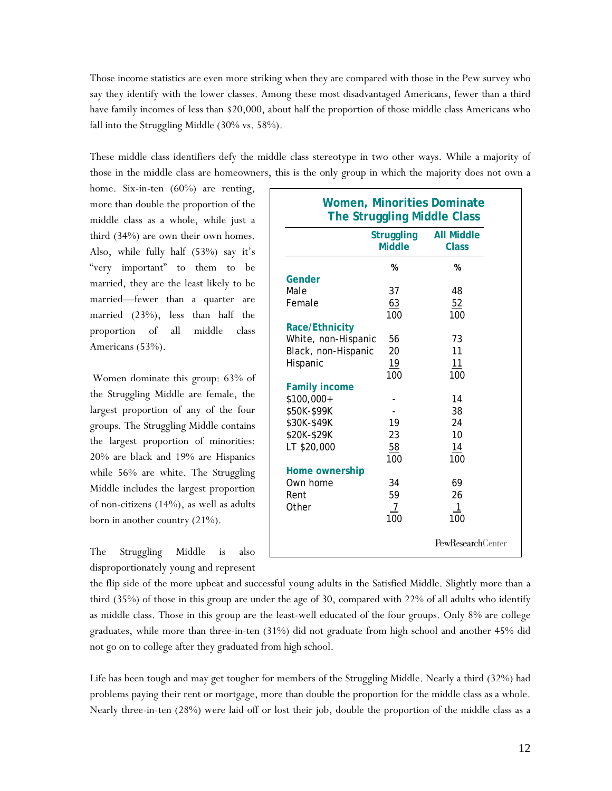Those income statistics are even more striking when they are compared with those in the Pew survey who say they identify with the lower classes. Among these most disadvantaged Americans, fewer than a third have family incomes of less than \$20,000, about half the proportion of those middle class Americans who fall into the Struggling Middle (30% vs. 58%).

These middle class identifiers defy the middle class stereotype in two other ways. While a majority of those in the middle class are homeowners, this is the only group in which the majority does not own a

home. Six-in-ten (60%) are renting, more than double the proportion of the middle class as a whole, while just a third (34%) are own their own homes. Also, while fully half (53%) say it's "very important" to them to be married, they are the least likely to be married—fewer than a quarter are married (23%), less than half the proportion of all middle class Americans (53%).

 Women dominate this group: 63% of the Struggling Middle are female, the largest proportion of any of the four groups. The Struggling Middle contains the largest proportion of minorities: 20% are black and 19% are Hispanics while 56% are white. The Struggling Middle includes the largest proportion of non-citizens (14%), as well as adults born in another country (21%).

The Struggling Middle is also disproportionately young and represent

|                       | <b>Struggling</b><br><b>Middle</b> | <b>All Middle</b><br><b>Class</b> |
|-----------------------|------------------------------------|-----------------------------------|
|                       | %                                  | %                                 |
| Gender                |                                    |                                   |
| Male                  | 37                                 | 48                                |
| Female                | 63                                 | 52                                |
|                       | 100                                | 100                               |
| <b>Race/Ethnicity</b> |                                    |                                   |
| White, non-Hispanic   | 56                                 | 73                                |
| Black, non-Hispanic   | 20                                 | 11                                |
| Hispanic              | 19                                 | 11                                |
|                       | 100                                | 100                               |
| <b>Family income</b>  |                                    |                                   |
| \$100,000+            |                                    | 14                                |
| \$50K-\$99K           |                                    | 38                                |
| \$30K-\$49K           | 19                                 | 24                                |
| \$20K-\$29K           | 23                                 | 10                                |
| LT \$20,000           | 58                                 | 14                                |
|                       | 100                                | 100                               |
| Home ownership        |                                    |                                   |
| Own home              | 34                                 | 69                                |
| Rent                  | 59                                 | 26                                |
| Other                 | 7                                  | 1                                 |
|                       | 100                                | 100                               |

the flip side of the more upbeat and successful young adults in the Satisfied Middle. Slightly more than a third (35%) of those in this group are under the age of 30, compared with 22% of all adults who identify as middle class. Those in this group are the least-well educated of the four groups. Only 8% are college graduates, while more than three-in-ten (31%) did not graduate from high school and another 45% did not go on to college after they graduated from high school.

Life has been tough and may get tougher for members of the Struggling Middle. Nearly a third (32%) had problems paying their rent or mortgage, more than double the proportion for the middle class as a whole. Nearly three-in-ten (28%) were laid off or lost their job, double the proportion of the middle class as a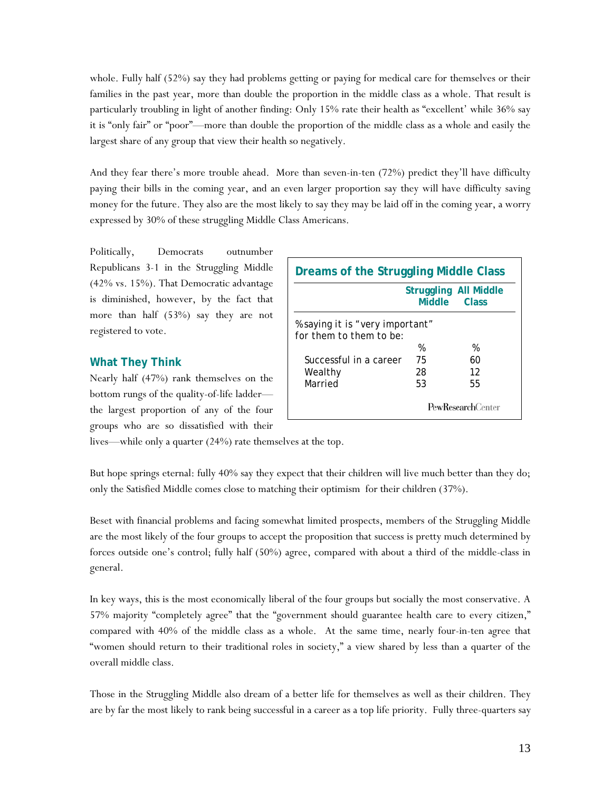whole. Fully half (52%) say they had problems getting or paying for medical care for themselves or their families in the past year, more than double the proportion in the middle class as a whole. That result is particularly troubling in light of another finding: Only 15% rate their health as "excellent' while 36% say it is "only fair" or "poor"—more than double the proportion of the middle class as a whole and easily the largest share of any group that view their health so negatively.

And they fear there's more trouble ahead. More than seven-in-ten (72%) predict they'll have difficulty paying their bills in the coming year, and an even larger proportion say they will have difficulty saving money for the future. They also are the most likely to say they may be laid off in the coming year, a worry expressed by 30% of these struggling Middle Class Americans.

Politically, Democrats outnumber Republicans 3-1 in the Struggling Middle (42% vs. 15%). That Democratic advantage is diminished, however, by the fact that more than half (53%) say they are not registered to vote.

# **What They Think**

Nearly half (47%) rank themselves on the bottom rungs of the quality-of-life ladder the largest proportion of any of the four groups who are so dissatisfied with their

| Dreams of the Struggling Middle Class                      |                                              |    |  |  |  |  |
|------------------------------------------------------------|----------------------------------------------|----|--|--|--|--|
|                                                            | <b>Struggling All Middle</b><br>Middle Class |    |  |  |  |  |
| % saying it is "very important"<br>for them to them to be: |                                              |    |  |  |  |  |
|                                                            | %                                            | %  |  |  |  |  |
| Successful in a career                                     | 75                                           | 60 |  |  |  |  |
| Wealthy                                                    | 28                                           | 12 |  |  |  |  |
| Married                                                    | 53                                           | 55 |  |  |  |  |
|                                                            | <b>PewResearch</b> Center                    |    |  |  |  |  |

lives—while only a quarter (24%) rate themselves at the top.

But hope springs eternal: fully 40% say they expect that their children will live much better than they do; only the Satisfied Middle comes close to matching their optimism for their children (37%).

Beset with financial problems and facing somewhat limited prospects, members of the Struggling Middle are the most likely of the four groups to accept the proposition that success is pretty much determined by forces outside one's control; fully half (50%) agree, compared with about a third of the middle-class in general.

In key ways, this is the most economically liberal of the four groups but socially the most conservative. A 57% majority "completely agree" that the "government should guarantee health care to every citizen," compared with 40% of the middle class as a whole. At the same time, nearly four-in-ten agree that "women should return to their traditional roles in society," a view shared by less than a quarter of the overall middle class.

Those in the Struggling Middle also dream of a better life for themselves as well as their children. They are by far the most likely to rank being successful in a career as a top life priority. Fully three-quarters say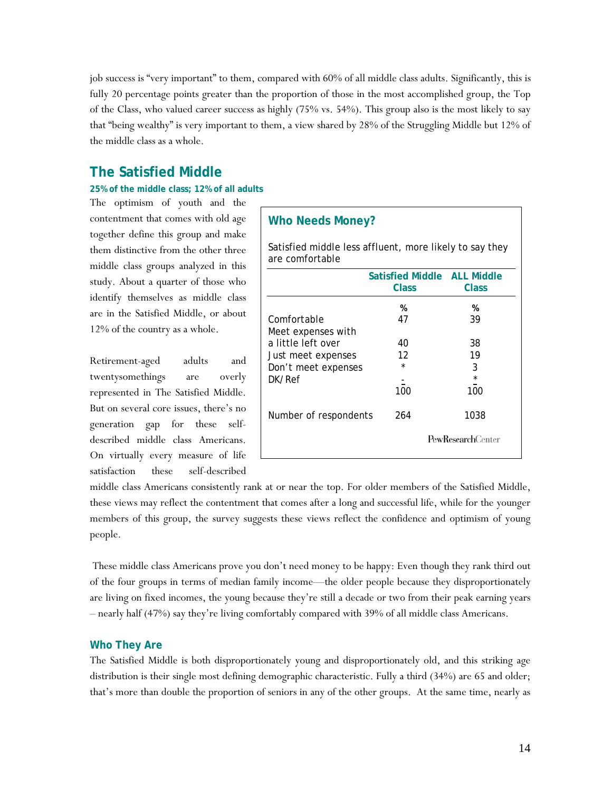job success is "very important" to them, compared with 60% of all middle class adults. Significantly, this is fully 20 percentage points greater than the proportion of those in the most accomplished group, the Top of the Class, who valued career success as highly (75% vs. 54%). This group also is the most likely to say that "being wealthy" is very important to them, a view shared by 28% of the Struggling Middle but 12% of the middle class as a whole.

# **The Satisfied Middle**

### **25% of the middle class; 12% of all adults**

The optimism of youth and the contentment that comes with old age together define this group and make them distinctive from the other three middle class groups analyzed in this study. About a quarter of those who identify themselves as middle class are in the Satisfied Middle, or about 12% of the country as a whole.

Retirement-aged adults and twentysomethings are overly represented in The Satisfied Middle. But on several core issues, there's no generation gap for these selfdescribed middle class Americans. On virtually every measure of life satisfaction these self-described

# **Who Needs Money?**

Satisfied middle less affluent, more likely to say they are comfortable

|                       | <b>Satisfied Middle ALL Middle</b><br><b>Class</b> | Class                    |
|-----------------------|----------------------------------------------------|--------------------------|
|                       | %                                                  | %                        |
| Comfortable           | 47                                                 | 39                       |
| Meet expenses with    |                                                    |                          |
| a little left over    | 40                                                 | 38                       |
| Just meet expenses    | 12                                                 | 19                       |
| Don't meet expenses   | $\star$                                            | 3                        |
| DK/Ref                |                                                    | $\star$                  |
|                       | 100                                                | 100                      |
| Number of respondents | 264                                                | 1038                     |
|                       |                                                    | <b>PewResearchCenter</b> |

middle class Americans consistently rank at or near the top. For older members of the Satisfied Middle, these views may reflect the contentment that comes after a long and successful life, while for the younger members of this group, the survey suggests these views reflect the confidence and optimism of young people.

 These middle class Americans prove you don't need money to be happy: Even though they rank third out of the four groups in terms of median family income—the older people because they disproportionately are living on fixed incomes, the young because they're still a decade or two from their peak earning years – nearly half (47%) say they're living comfortably compared with 39% of all middle class Americans.

# **Who They Are**

The Satisfied Middle is both disproportionately young and disproportionately old, and this striking age distribution is their single most defining demographic characteristic. Fully a third (34%) are 65 and older; that's more than double the proportion of seniors in any of the other groups. At the same time, nearly as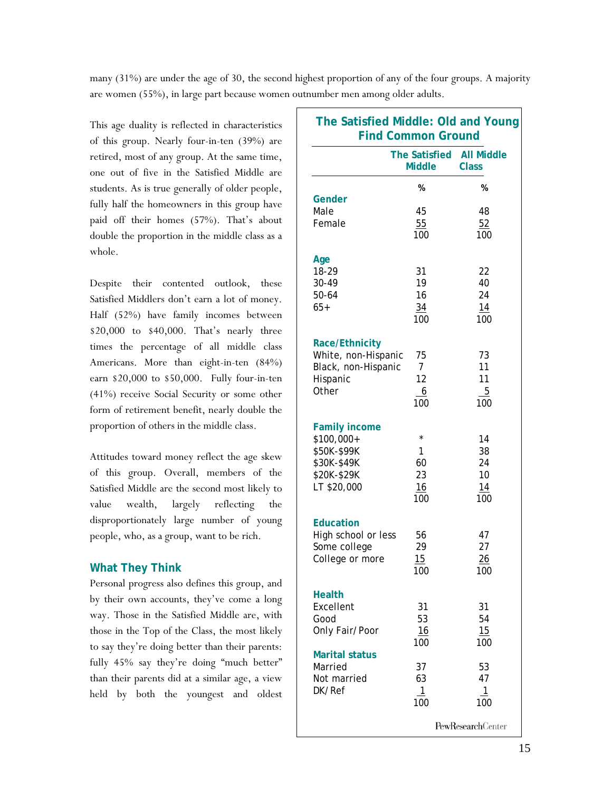many (31%) are under the age of 30, the second highest proportion of any of the four groups. A majority are women (55%), in large part because women outnumber men among older adults.

This age duality is reflected in characteristics of this group. Nearly four-in-ten (39%) are retired, most of any group. At the same time, one out of five in the Satisfied Middle are students. As is true generally of older people, fully half the homeowners in this group have paid off their homes (57%). That's about double the proportion in the middle class as a whole.

Despite their contented outlook, these Satisfied Middlers don't earn a lot of money. Half (52%) have family incomes between \$20,000 to \$40,000. That's nearly three times the percentage of all middle class Americans. More than eight-in-ten (84%) earn \$20,000 to \$50,000. Fully four-in-ten (41%) receive Social Security or some other form of retirement benefit, nearly double the proportion of others in the middle class.

Attitudes toward money reflect the age skew of this group. Overall, members of the Satisfied Middle are the second most likely to value wealth, largely reflecting the disproportionately large number of young people, who, as a group, want to be rich.

# **What They Think**

Personal progress also defines this group, and by their own accounts, they've come a long way. Those in the Satisfied Middle are, with those in the Top of the Class, the most likely to say they're doing better than their parents: fully 45% say they're doing "much better" than their parents did at a similar age, a view held by both the youngest and oldest

| The Satisfied Middle: Old and Young<br><b>Find Common Ground</b> |                                       |                                   |  |  |
|------------------------------------------------------------------|---------------------------------------|-----------------------------------|--|--|
|                                                                  | <b>The Satisfied</b><br><b>Middle</b> | <b>All Middle</b><br><b>Class</b> |  |  |
| Gender                                                           | %                                     | %                                 |  |  |
| Male                                                             | 45                                    | 48                                |  |  |
| Female                                                           | 55<br>100                             | 52<br>100                         |  |  |
| Age                                                              |                                       |                                   |  |  |
| 18-29<br>30-49                                                   | 31<br>19                              | 22<br>40                          |  |  |
| 50-64                                                            | 16                                    | 24                                |  |  |
| $65+$                                                            | 34<br>100                             | 14<br>100                         |  |  |
| <b>Race/Ethnicity</b><br>White, non-Hispanic                     | 75                                    | 73                                |  |  |
| Black, non-Hispanic                                              | $\overline{7}$                        | 11                                |  |  |
| Hispanic                                                         | 12                                    | 11                                |  |  |
| Other                                                            | 6<br>100                              | $\overline{5}$<br>100             |  |  |
| <b>Family income</b><br>\$100,000+                               | $\star$                               | 14                                |  |  |
| \$50K-\$99K                                                      | 1                                     | 38                                |  |  |
| \$30K-\$49K                                                      | 60                                    | 24                                |  |  |
| \$20K-\$29K<br>LT \$20,000                                       | 23<br>16                              | 10<br>14                          |  |  |
|                                                                  | 100                                   | 100                               |  |  |
| <b>Education</b><br>High school or less                          | 56                                    | 47                                |  |  |
| Some college                                                     | 29                                    | 27                                |  |  |
| College or more                                                  | 15<br>100                             | <u> 26</u><br>100                 |  |  |
| <b>Health</b><br>Excellent                                       |                                       |                                   |  |  |
| Good                                                             | 31<br>53                              | 31<br>54                          |  |  |
| Only Fair/Poor                                                   | 16<br>100                             | 15<br>100                         |  |  |
| <b>Marital status</b>                                            |                                       |                                   |  |  |
| Married<br>Not married                                           | 37<br>63                              | 53<br>47                          |  |  |
| DK/Ref                                                           | $\overline{1}$                        | $\overline{1}$                    |  |  |
|                                                                  | 100                                   | 100                               |  |  |
|                                                                  |                                       | <b>PewResearchCenter</b>          |  |  |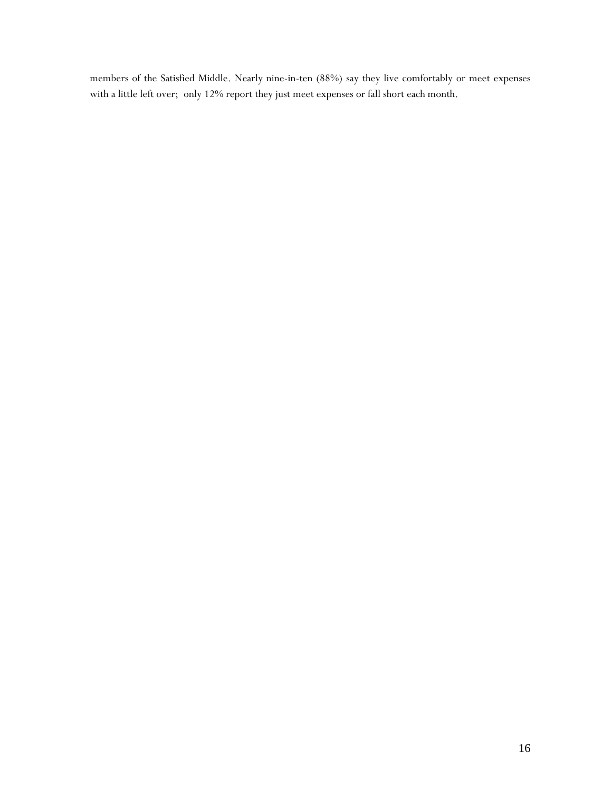members of the Satisfied Middle. Nearly nine-in-ten (88%) say they live comfortably or meet expenses with a little left over; only 12% report they just meet expenses or fall short each month.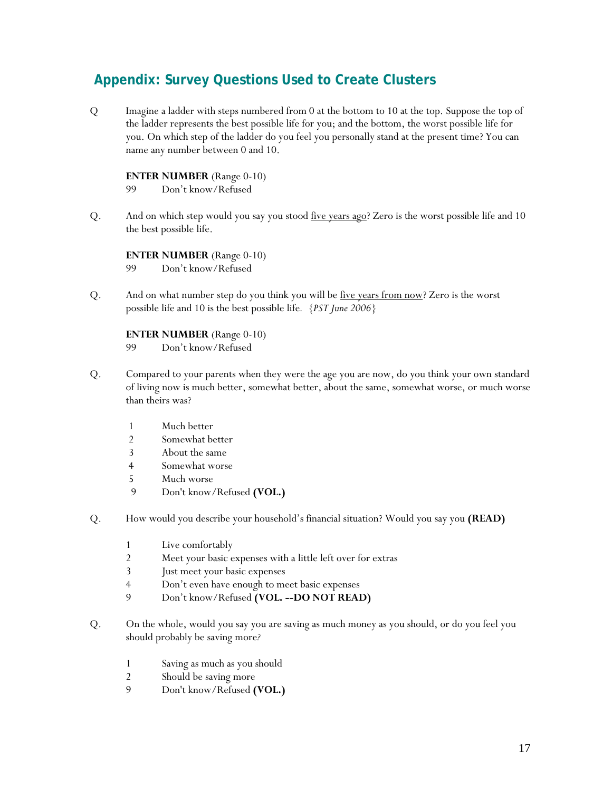# **Appendix: Survey Questions Used to Create Clusters**

Q Imagine a ladder with steps numbered from 0 at the bottom to 10 at the top. Suppose the top of the ladder represents the best possible life for you; and the bottom, the worst possible life for you. On which step of the ladder do you feel you personally stand at the present time? You can name any number between 0 and 10.

### **ENTER NUMBER** (Range 0-10)

- 99 Don't know/Refused
- Q. And on which step would you say you stood five years ago? Zero is the worst possible life and 10 the best possible life.

**ENTER NUMBER** (Range 0-10) 99 Don't know/Refused

Q. And on what number step do you think you will be five years from now? Zero is the worst possible life and 10 is the best possible life*. {PST June 2006}*

### **ENTER NUMBER** (Range 0-10)

- 99 Don't know/Refused
- Q. Compared to your parents when they were the age you are now, do you think your own standard of living now is much better, somewhat better, about the same, somewhat worse, or much worse than theirs was?
	- 1 Much better<br>2 Somewhat be
	- Somewhat better
	- 3 About the same
	- 4 Somewhat worse
	- 5 Much worse
	- 9 Don't know/Refused **(VOL.)**
- Q. How would you describe your household's financial situation? Would you say you **(READ)**
	- 1 Live comfortably
	- 2 Meet your basic expenses with a little left over for extras
	- 3 Just meet your basic expenses
	- 4 Don't even have enough to meet basic expenses
	- 9 Don't know/Refused **(VOL. --DO NOT READ)**
- Q. On the whole, would you say you are saving as much money as you should, or do you feel you should probably be saving more*?* 
	- 1 Saving as much as you should
	- 2 Should be saving more
	- 9 Don't know/Refused **(VOL.)**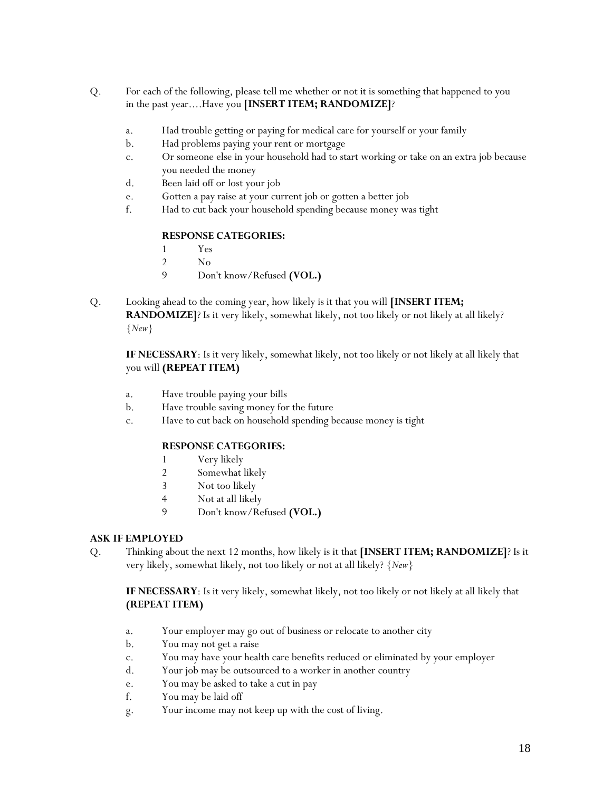- Q. For each of the following, please tell me whether or not it is something that happened to you in the past year....Have you **[INSERT ITEM; RANDOMIZE]**?
	- a. Had trouble getting or paying for medical care for yourself or your family
	- b. Had problems paying your rent or mortgage
	- c. Or someone else in your household had to start working or take on an extra job because you needed the money
	- d. Been laid off or lost your job
	- e. Gotten a pay raise at your current job or gotten a better job
	- f. Had to cut back your household spending because money was tight

## **RESPONSE CATEGORIES:**

- 1 Yes
- 2 No
- 9 Don't know/Refused **(VOL.)**
- Q. Looking ahead to the coming year, how likely is it that you will **[INSERT ITEM; RANDOMIZE**]? Is it very likely, somewhat likely, not too likely or not likely at all likely? *{New}*

**IF NECESSARY**: Is it very likely, somewhat likely, not too likely or not likely at all likely that you will **(REPEAT ITEM)** 

- a. Have trouble paying your bills
- b. Have trouble saving money for the future
- c. Have to cut back on household spending because money is tight

## **RESPONSE CATEGORIES:**

- 1 Very likely
- 2 Somewhat likely
- 3 Not too likely
- 4 Not at all likely
- 9 Don't know/Refused **(VOL.)**

# **ASK IF EMPLOYED**

Q. Thinking about the next 12 months, how likely is it that **[INSERT ITEM; RANDOMIZE]**? Is it very likely, somewhat likely, not too likely or not at all likely? *{New}* 

**IF NECESSARY**: Is it very likely, somewhat likely, not too likely or not likely at all likely that **(REPEAT ITEM)** 

- a. Your employer may go out of business or relocate to another city
- b. You may not get a raise
- c. You may have your health care benefits reduced or eliminated by your employer
- d. Your job may be outsourced to a worker in another country
- e. You may be asked to take a cut in pay
- f. You may be laid off
- g. Your income may not keep up with the cost of living.